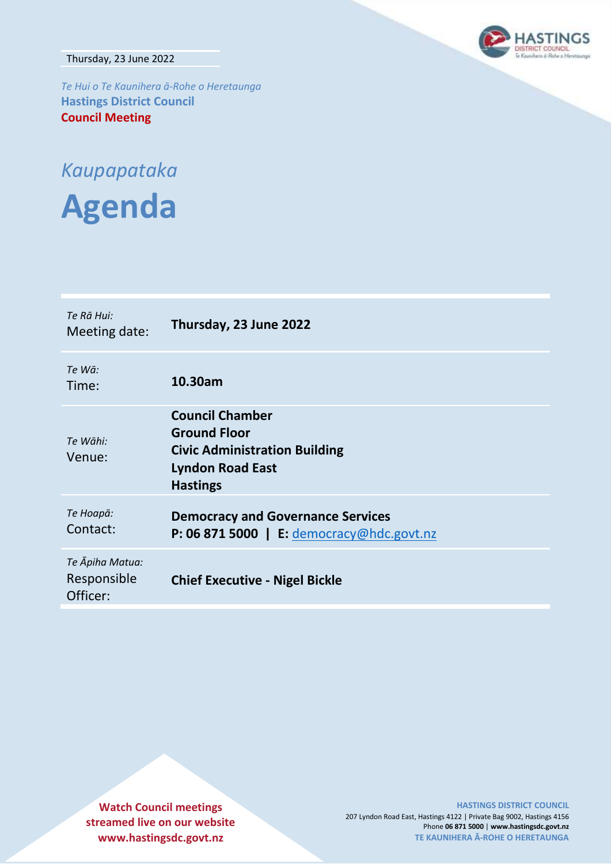Thursday, 23 June 2022



*Te Hui o Te Kaunihera ā-Rohe o Heretaunga* **Hastings District Council Council Meeting**

# *Kaupapataka*

**Agenda**

| Te Rā Hui:<br>Meeting date:                | Thursday, 23 June 2022                                                                                                              |
|--------------------------------------------|-------------------------------------------------------------------------------------------------------------------------------------|
| Te Wā:<br>Time:                            | 10.30am                                                                                                                             |
| Te Wāhi:<br>Venue:                         | <b>Council Chamber</b><br><b>Ground Floor</b><br><b>Civic Administration Building</b><br><b>Lyndon Road East</b><br><b>Hastings</b> |
| Те Ноара:<br>Contact:                      | <b>Democracy and Governance Services</b><br>P: 06 871 5000   E: democracy@hdc.govt.nz                                               |
| Te Āpiha Matua:<br>Responsible<br>Officer: | <b>Chief Executive - Nigel Bickle</b>                                                                                               |

**Watch Council meetings streamed live on our website www.hastingsdc.govt.nz**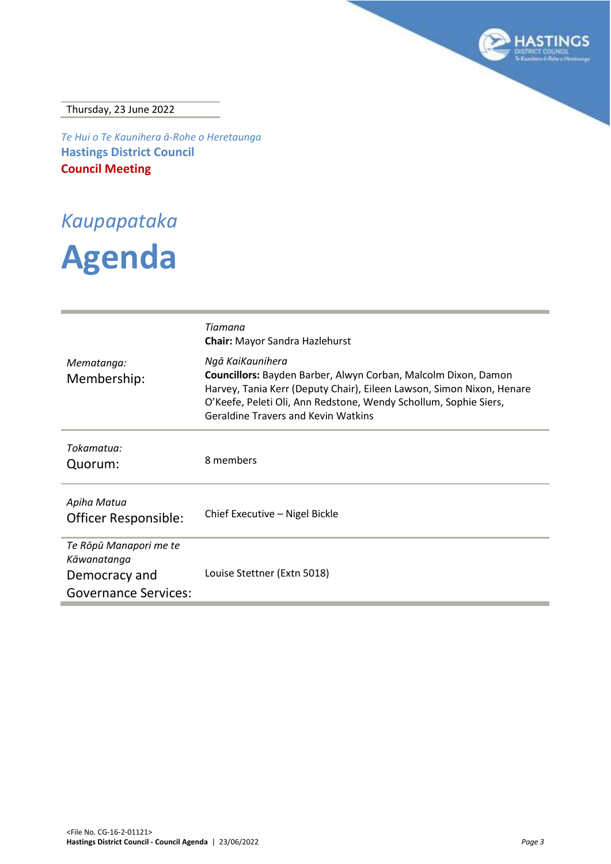

Thursday, 23 June 2022

*Te Hui o Te Kaunihera ā-Rohe o Heretaunga* **Hastings District Council Council Meeting**

*Kaupapataka*

# **Agenda**

| Mematanga:                                                                            | Tiamana<br><b>Chair:</b> Mayor Sandra Hazlehurst<br>Ngā KaiKaunihera                                                                                                                                                                                      |
|---------------------------------------------------------------------------------------|-----------------------------------------------------------------------------------------------------------------------------------------------------------------------------------------------------------------------------------------------------------|
| Membership:                                                                           | Councillors: Bayden Barber, Alwyn Corban, Malcolm Dixon, Damon<br>Harvey, Tania Kerr (Deputy Chair), Eileen Lawson, Simon Nixon, Henare<br>O'Keefe, Peleti Oli, Ann Redstone, Wendy Schollum, Sophie Siers,<br><b>Geraldine Travers and Kevin Watkins</b> |
| Tokamatua:<br>Quorum:                                                                 | 8 members                                                                                                                                                                                                                                                 |
| Apiha Matua<br>Officer Responsible:                                                   | Chief Executive - Nigel Bickle                                                                                                                                                                                                                            |
| Te Rōpū Manapori me te<br>Kāwanatanga<br>Democracy and<br><b>Governance Services:</b> | Louise Stettner (Extn 5018)                                                                                                                                                                                                                               |
|                                                                                       |                                                                                                                                                                                                                                                           |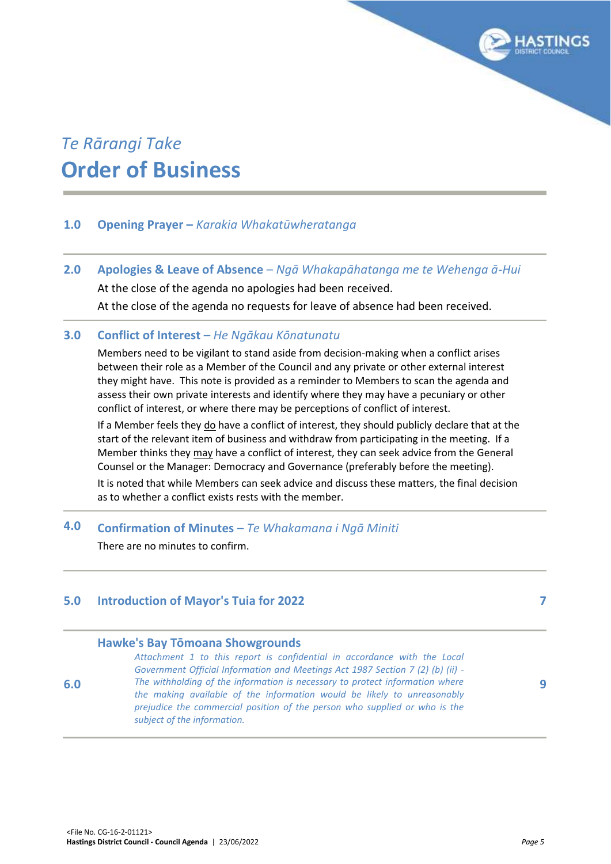

# *Te Rārangi Take* **Order of Business**

# **1.0 Opening Prayer –** *Karakia Whakatūwheratanga*

**2.0 Apologies & Leave of Absence** *– Ngā Whakapāhatanga me te Wehenga ā-Hui*

At the close of the agenda no apologies had been received.

At the close of the agenda no requests for leave of absence had been received.

## **3.0 Conflict of Interest** *– He Ngākau Kōnatunatu*

Members need to be vigilant to stand aside from decision-making when a conflict arises between their role as a Member of the Council and any private or other external interest they might have. This note is provided as a reminder to Members to scan the agenda and assess their own private interests and identify where they may have a pecuniary or other conflict of interest, or where there may be perceptions of conflict of interest.

If a Member feels they do have a conflict of interest, they should publicly declare that at the start of the relevant item of business and withdraw from participating in the meeting. If a Member thinks they may have a conflict of interest, they can seek advice from the General Counsel or the Manager: Democracy and Governance (preferably before the meeting).

It is noted that while Members can seek advice and discuss these matters, the final decision as to whether a conflict exists rests with the member.

# **4.0 Confirmation of Minutes** *– Te Whakamana i Ngā Miniti*

There are no minutes to confirm.

# **5.0 Introduction of Mayor's Tuia for 2022 [7](#page-6-0)**

#### **Hawke's Bay Tōmoana Showgrounds**

*Attachment 1 to this report is confidential in accordance with the Local Government Official Information and Meetings Act 1987 Section 7 (2) (b) (ii) - The withholding of the information is necessary to protect information where the making available of the information would be likely to unreasonably prejudice the commercial position of the person who supplied or who is the subject of the information.* 

**6.0**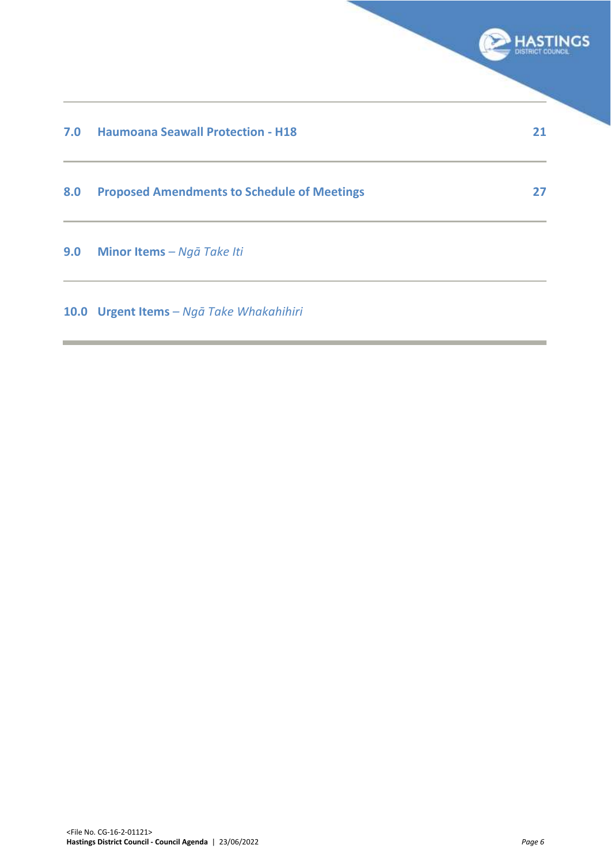|     |                                                    | <b>HASTINGS</b><br>DISTRICT COL |
|-----|----------------------------------------------------|---------------------------------|
| 7.0 | <b>Haumoana Seawall Protection - H18</b>           | 21                              |
| 8.0 | <b>Proposed Amendments to Schedule of Meetings</b> | 27                              |
| 9.0 | Minor Items - Ngā Take Iti                         |                                 |
|     | 10.0 Urgent Items - Ngā Take Whakahihiri           |                                 |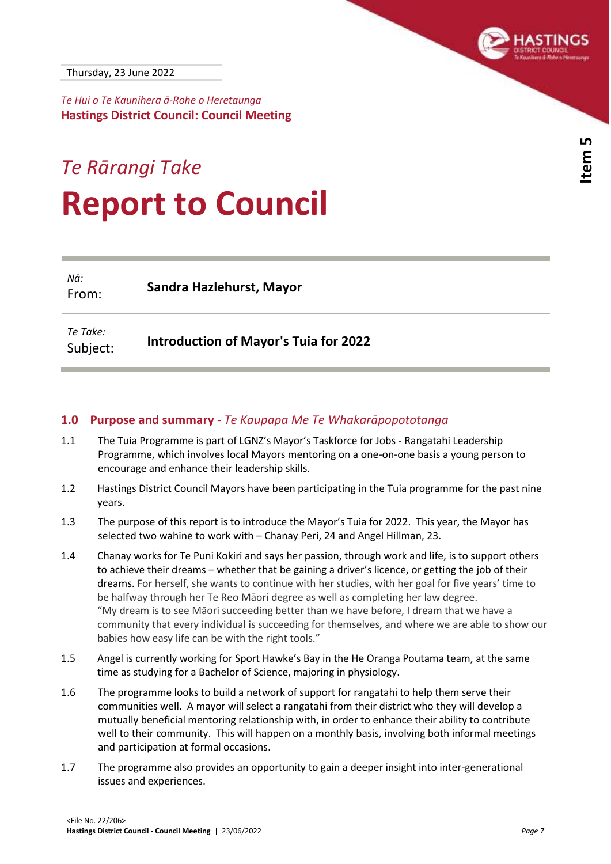

<span id="page-6-0"></span>*Te Hui o Te Kaunihera ā-Rohe o Heretaunga* **Hastings District Council: Council Meeting**

# *Te Rārangi Take* **Report to Council**

*Nā:* From: **Sandra Hazlehurst, Mayor**

*Te Take:* Subject: **Introduction of Mayor's Tuia for 2022**

#### **1.0 Purpose and summary** *- Te Kaupapa Me Te Whakarāpopototanga*

- 1.1 The Tuia Programme is part of LGNZ's Mayor's Taskforce for Jobs Rangatahi Leadership Programme, which involves local Mayors mentoring on a one-on-one basis a young person to encourage and enhance their leadership skills.
- 1.2 Hastings District Council Mayors have been participating in the Tuia programme for the past nine years.
- 1.3 The purpose of this report is to introduce the Mayor's Tuia for 2022. This year, the Mayor has selected two wahine to work with – Chanay Peri, 24 and Angel Hillman, 23.
- 1.4 Chanay works for Te Puni Kokiri and says her passion, through work and life, is to support others to achieve their dreams – whether that be gaining a driver's licence, or getting the job of their dreams. For herself, she wants to continue with her studies, with her goal for five years' time to be halfway through her Te Reo Māori degree as well as completing her law degree. "My dream is to see Māori succeeding better than we have before, I dream that we have a community that every individual is succeeding for themselves, and where we are able to show our babies how easy life can be with the right tools."
- 1.5 Angel is currently working for Sport Hawke's Bay in the He Oranga Poutama team, at the same time as studying for a Bachelor of Science, majoring in physiology.
- 1.6 The programme looks to build a network of support for rangatahi to help them serve their communities well. A mayor will select a rangatahi from their district who they will develop a mutually beneficial mentoring relationship with, in order to enhance their ability to contribute well to their community. This will happen on a monthly basis, involving both informal meetings and participation at formal occasions.
- 1.7 The programme also provides an opportunity to gain a deeper insight into inter-generational issues and experiences.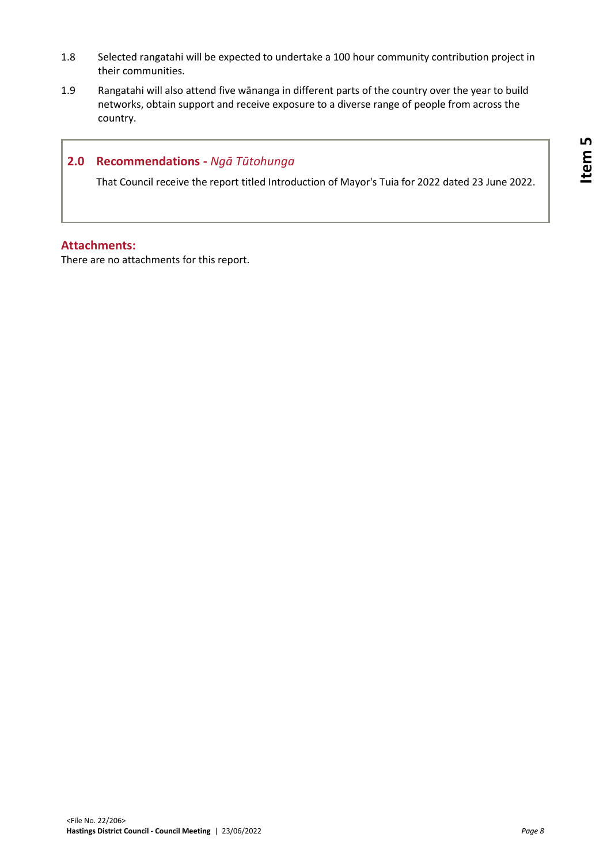- 1.8 Selected rangatahi will be expected to undertake a 100 hour community contribution project in their communities.
- 1.9 Rangatahi will also attend five wānanga in different parts of the country over the year to build networks, obtain support and receive exposure to a diverse range of people from across the country.

## **2.0 Recommendations -** *Ngā Tūtohunga*

That Council receive the report titled Introduction of Mayor's Tuia for 2022 dated 23 June 2022.

### **Attachments:**

There are no attachments for this report.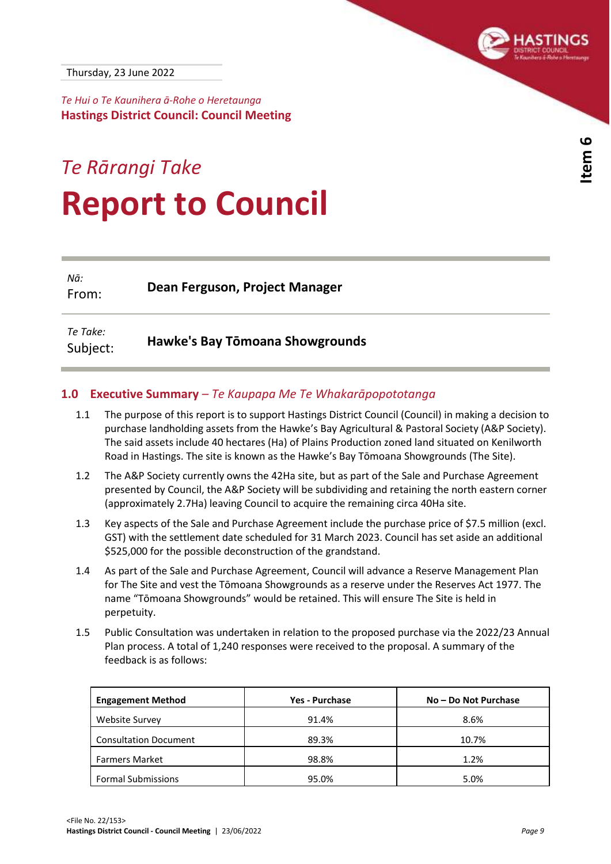

**Item 6** 

<span id="page-8-0"></span>*Te Hui o Te Kaunihera ā-Rohe o Heretaunga* **Hastings District Council: Council Meeting**

# *Te Rārangi Take* **Report to Council**

*Nā:* From: **Dean Ferguson, Project Manager**

*Te Take:* Subject: **Hawke's Bay Tōmoana Showgrounds**

#### **1.0 Executive Summary** *– Te Kaupapa Me Te Whakarāpopototanga*

- 1.1 The purpose of this report is to support Hastings District Council (Council) in making a decision to purchase landholding assets from the Hawke's Bay Agricultural & Pastoral Society (A&P Society). The said assets include 40 hectares (Ha) of Plains Production zoned land situated on Kenilworth Road in Hastings. The site is known as the Hawke's Bay Tōmoana Showgrounds (The Site).
- 1.2 The A&P Society currently owns the 42Ha site, but as part of the Sale and Purchase Agreement presented by Council, the A&P Society will be subdividing and retaining the north eastern corner (approximately 2.7Ha) leaving Council to acquire the remaining circa 40Ha site.
- 1.3 Key aspects of the Sale and Purchase Agreement include the purchase price of \$7.5 million (excl. GST) with the settlement date scheduled for 31 March 2023. Council has set aside an additional \$525,000 for the possible deconstruction of the grandstand.
- 1.4 As part of the Sale and Purchase Agreement, Council will advance a Reserve Management Plan for The Site and vest the Tōmoana Showgrounds as a reserve under the Reserves Act 1977. The name "Tōmoana Showgrounds" would be retained. This will ensure The Site is held in perpetuity.
- 1.5 Public Consultation was undertaken in relation to the proposed purchase via the 2022/23 Annual Plan process. A total of 1,240 responses were received to the proposal. A summary of the feedback is as follows:

| <b>Engagement Method</b>     | Yes - Purchase | No – Do Not Purchase |
|------------------------------|----------------|----------------------|
| Website Survey               | 91.4%          | 8.6%                 |
| <b>Consultation Document</b> | 89.3%          | 10.7%                |
| <b>Farmers Market</b>        | 98.8%          | 1.2%                 |
| <b>Formal Submissions</b>    | 95.0%          | 5.0%                 |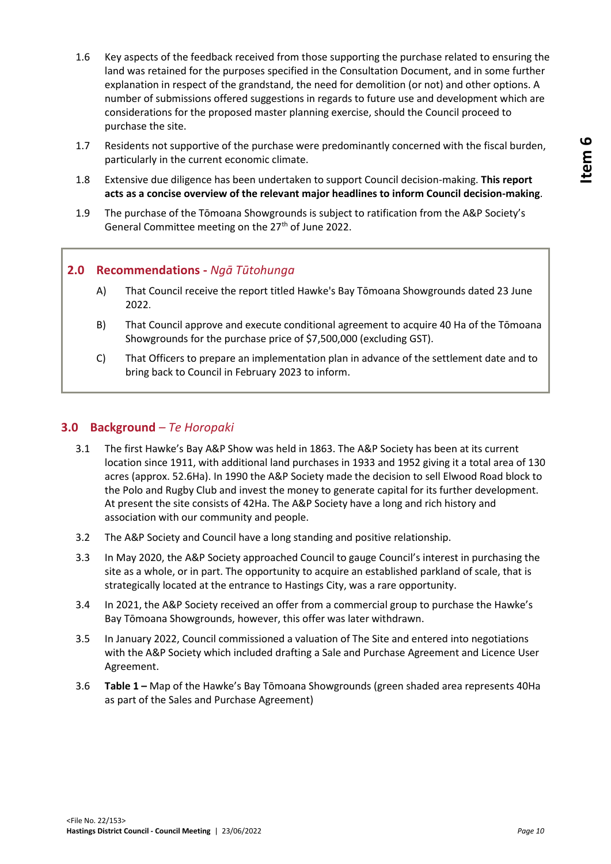- 1.6 Key aspects of the feedback received from those supporting the purchase related to ensuring the land was retained for the purposes specified in the Consultation Document, and in some further explanation in respect of the grandstand, the need for demolition (or not) and other options. A number of submissions offered suggestions in regards to future use and development which are considerations for the proposed master planning exercise, should the Council proceed to purchase the site.
- 1.7 Residents not supportive of the purchase were predominantly concerned with the fiscal burden, particularly in the current economic climate.
- 1.8 Extensive due diligence has been undertaken to support Council decision-making. **This report acts as a concise overview of the relevant major headlines to inform Council decision-making**.
- 1.9 The purchase of the Tōmoana Showgrounds is subject to ratification from the A&P Society's General Committee meeting on the 27<sup>th</sup> of June 2022.

# **2.0 Recommendations -** *Ngā Tūtohunga*

- A) That Council receive the report titled Hawke's Bay Tōmoana Showgrounds dated 23 June 2022.
- B) That Council approve and execute conditional agreement to acquire 40 Ha of the Tōmoana Showgrounds for the purchase price of \$7,500,000 (excluding GST).
- C) That Officers to prepare an implementation plan in advance of the settlement date and to bring back to Council in February 2023 to inform.

# **3.0 Background** *– Te Horopaki*

- 3.1 The first Hawke's Bay A&P Show was held in 1863. The A&P Society has been at its current location since 1911, with additional land purchases in 1933 and 1952 giving it a total area of 130 acres (approx. 52.6Ha). In 1990 the A&P Society made the decision to sell Elwood Road block to the Polo and Rugby Club and invest the money to generate capital for its further development. At present the site consists of 42Ha. The A&P Society have a long and rich history and association with our community and people.
- 3.2 The A&P Society and Council have a long standing and positive relationship.
- 3.3 In May 2020, the A&P Society approached Council to gauge Council's interest in purchasing the site as a whole, or in part. The opportunity to acquire an established parkland of scale, that is strategically located at the entrance to Hastings City, was a rare opportunity.
- 3.4 In 2021, the A&P Society received an offer from a commercial group to purchase the Hawke's Bay Tōmoana Showgrounds, however, this offer was later withdrawn.
- 3.5 In January 2022, Council commissioned a valuation of The Site and entered into negotiations with the A&P Society which included drafting a Sale and Purchase Agreement and Licence User Agreement.
- 3.6 **Table 1 –** Map of the Hawke's Bay Tōmoana Showgrounds (green shaded area represents 40Ha as part of the Sales and Purchase Agreement)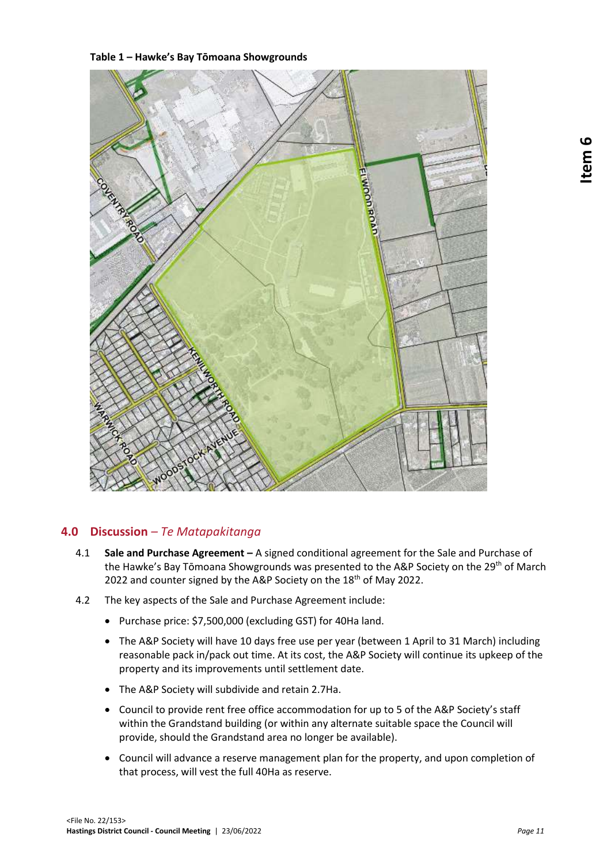**Table 1 – Hawke's Bay Tōmoana Showgrounds**



# **4.0 Discussion** *– Te Matapakitanga*

- 4.1 **Sale and Purchase Agreement –** A signed conditional agreement for the Sale and Purchase of the Hawke's Bay Tōmoana Showgrounds was presented to the A&P Society on the 29<sup>th</sup> of March 2022 and counter signed by the A&P Society on the 18<sup>th</sup> of May 2022.
- 4.2 The key aspects of the Sale and Purchase Agreement include:
	- Purchase price: \$7,500,000 (excluding GST) for 40Ha land.
	- The A&P Society will have 10 days free use per year (between 1 April to 31 March) including reasonable pack in/pack out time. At its cost, the A&P Society will continue its upkeep of the property and its improvements until settlement date.
	- The A&P Society will subdivide and retain 2.7Ha.
	- Council to provide rent free office accommodation for up to 5 of the A&P Society's staff within the Grandstand building (or within any alternate suitable space the Council will provide, should the Grandstand area no longer be available).
	- Council will advance a reserve management plan for the property, and upon completion of that process, will vest the full 40Ha as reserve.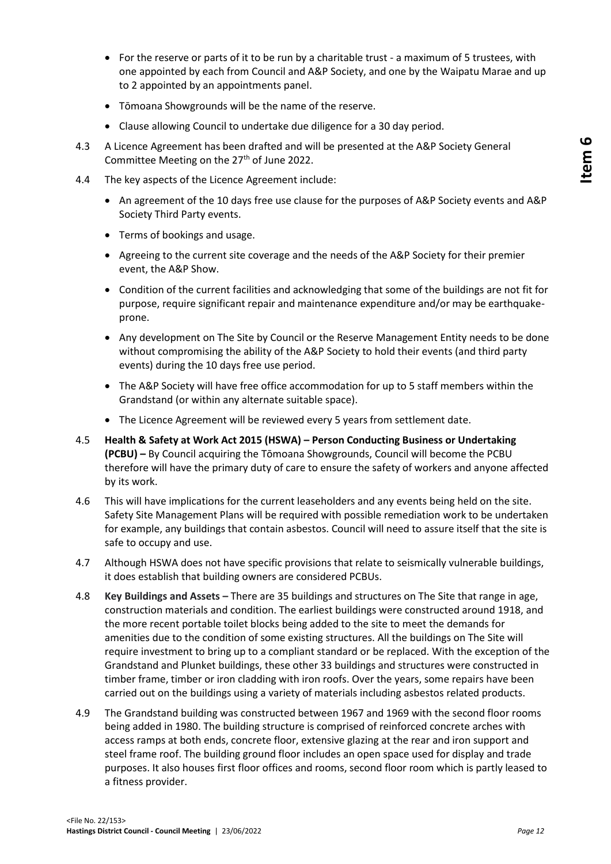- For the reserve or parts of it to be run by a charitable trust a maximum of 5 trustees, with one appointed by each from Council and A&P Society, and one by the Waipatu Marae and up to 2 appointed by an appointments panel.
- Tōmoana Showgrounds will be the name of the reserve.
- Clause allowing Council to undertake due diligence for a 30 day period.
- 4.3 A Licence Agreement has been drafted and will be presented at the A&P Society General Committee Meeting on the 27<sup>th</sup> of June 2022.
- 4.4 The key aspects of the Licence Agreement include:
	- An agreement of the 10 days free use clause for the purposes of A&P Society events and A&P Society Third Party events.
	- Terms of bookings and usage.
	- Agreeing to the current site coverage and the needs of the A&P Society for their premier event, the A&P Show.
	- Condition of the current facilities and acknowledging that some of the buildings are not fit for purpose, require significant repair and maintenance expenditure and/or may be earthquakeprone.
	- Any development on The Site by Council or the Reserve Management Entity needs to be done without compromising the ability of the A&P Society to hold their events (and third party events) during the 10 days free use period.
	- The A&P Society will have free office accommodation for up to 5 staff members within the Grandstand (or within any alternate suitable space).
	- The Licence Agreement will be reviewed every 5 years from settlement date.
- 4.5 **Health & Safety at Work Act 2015 (HSWA) – Person Conducting Business or Undertaking (PCBU) –** By Council acquiring the Tōmoana Showgrounds, Council will become the PCBU therefore will have the primary duty of care to ensure the safety of workers and anyone affected by its work.
- 4.6 This will have implications for the current leaseholders and any events being held on the site. Safety Site Management Plans will be required with possible remediation work to be undertaken for example, any buildings that contain asbestos. Council will need to assure itself that the site is safe to occupy and use.
- 4.7 Although HSWA does not have specific provisions that relate to seismically vulnerable buildings, it does establish that building owners are considered PCBUs.
- 4.8 **Key Buildings and Assets –** There are 35 buildings and structures on The Site that range in age, construction materials and condition. The earliest buildings were constructed around 1918, and the more recent portable toilet blocks being added to the site to meet the demands for amenities due to the condition of some existing structures. All the buildings on The Site will require investment to bring up to a compliant standard or be replaced. With the exception of the Grandstand and Plunket buildings, these other 33 buildings and structures were constructed in timber frame, timber or iron cladding with iron roofs. Over the years, some repairs have been carried out on the buildings using a variety of materials including asbestos related products.
- 4.9 The Grandstand building was constructed between 1967 and 1969 with the second floor rooms being added in 1980. The building structure is comprised of reinforced concrete arches with access ramps at both ends, concrete floor, extensive glazing at the rear and iron support and steel frame roof. The building ground floor includes an open space used for display and trade purposes. It also houses first floor offices and rooms, second floor room which is partly leased to a fitness provider.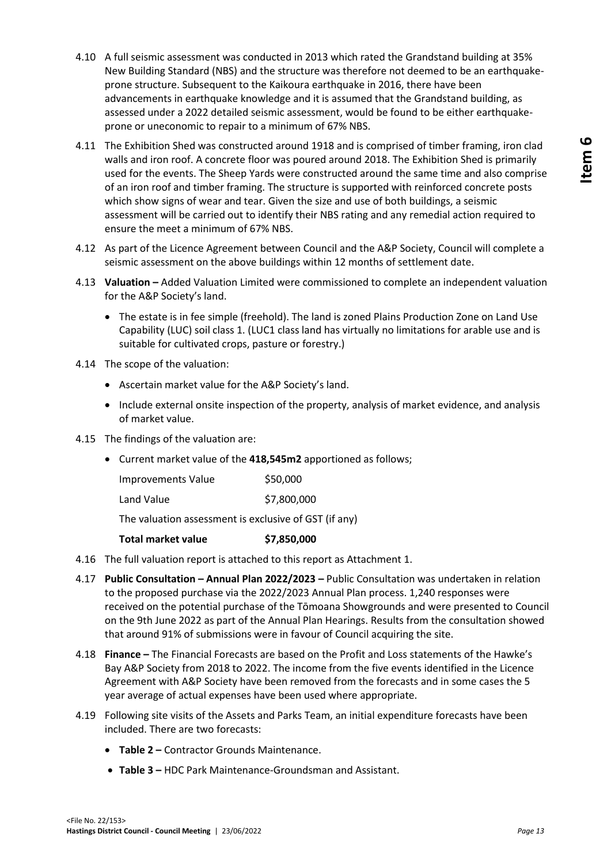- 4.10 A full seismic assessment was conducted in 2013 which rated the Grandstand building at 35% New Building Standard (NBS) and the structure was therefore not deemed to be an earthquakeprone structure. Subsequent to the Kaikoura earthquake in 2016, there have been advancements in earthquake knowledge and it is assumed that the Grandstand building, as assessed under a 2022 detailed seismic assessment, would be found to be either earthquakeprone or uneconomic to repair to a minimum of 67% NBS.
- 4.11 The Exhibition Shed was constructed around 1918 and is comprised of timber framing, iron clad walls and iron roof. A concrete floor was poured around 2018. The Exhibition Shed is primarily used for the events. The Sheep Yards were constructed around the same time and also comprise of an iron roof and timber framing. The structure is supported with reinforced concrete posts which show signs of wear and tear. Given the size and use of both buildings, a seismic assessment will be carried out to identify their NBS rating and any remedial action required to ensure the meet a minimum of 67% NBS.
- 4.12 As part of the Licence Agreement between Council and the A&P Society, Council will complete a seismic assessment on the above buildings within 12 months of settlement date.
- 4.13 **Valuation –** Added Valuation Limited were commissioned to complete an independent valuation for the A&P Society's land.
	- The estate is in fee simple (freehold). The land is zoned Plains Production Zone on Land Use Capability (LUC) soil class 1. (LUC1 class land has virtually no limitations for arable use and is suitable for cultivated crops, pasture or forestry.)
- 4.14 The scope of the valuation:
	- Ascertain market value for the A&P Society's land.
	- Include external onsite inspection of the property, analysis of market evidence, and analysis of market value.
- 4.15 The findings of the valuation are:
	- Current market value of the **418,545m2** apportioned as follows;

| <b>Improvements Value</b> | \$50,000    |
|---------------------------|-------------|
| Land Value                | \$7,800,000 |

The valuation assessment is exclusive of GST (if any)

- **Total market value \$7,850,000**
- 4.16 The full valuation report is attached to this report as Attachment 1.
- 4.17 **Public Consultation – Annual Plan 2022/2023 –** Public Consultation was undertaken in relation to the proposed purchase via the 2022/2023 Annual Plan process. 1,240 responses were received on the potential purchase of the Tōmoana Showgrounds and were presented to Council on the 9th June 2022 as part of the Annual Plan Hearings. Results from the consultation showed that around 91% of submissions were in favour of Council acquiring the site.
- 4.18 **Finance –** The Financial Forecasts are based on the Profit and Loss statements of the Hawke's Bay A&P Society from 2018 to 2022. The income from the five events identified in the Licence Agreement with A&P Society have been removed from the forecasts and in some cases the 5 year average of actual expenses have been used where appropriate.
- 4.19 Following site visits of the Assets and Parks Team, an initial expenditure forecasts have been included. There are two forecasts:
	- **Table 2 –** Contractor Grounds Maintenance.
	- **Table 3 –** HDC Park Maintenance-Groundsman and Assistant.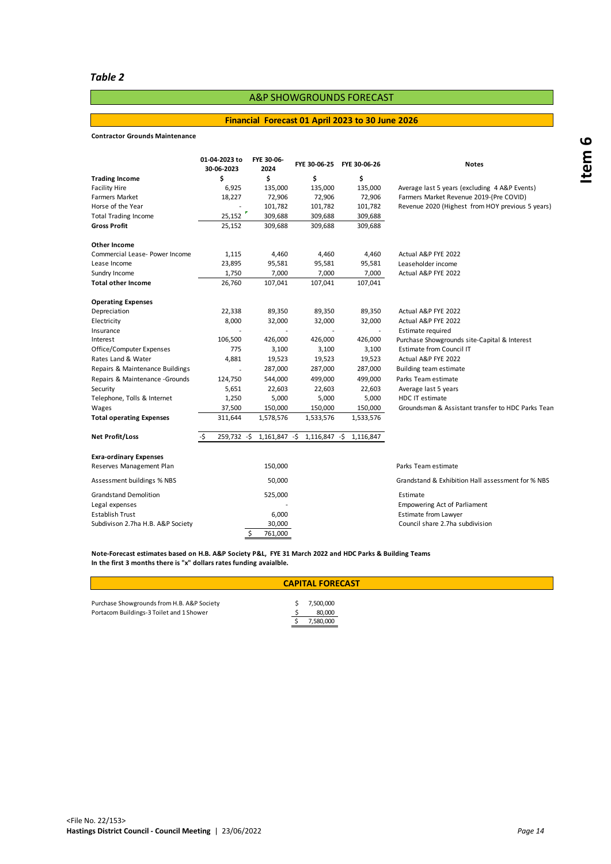#### *Table 2*

# A&P SHOWGROUNDS FORECAST

#### **Financial Forecast 01 April 2023 to 30 June 2026**

#### **Contractor Grounds Maintenance**

|                                   | 01-04-2023 to<br>30-06-2023 | FYE 30-06-<br>2024        | FYE 30-06-25  | FYE 30-06-26             | <b>Notes</b>                                      |
|-----------------------------------|-----------------------------|---------------------------|---------------|--------------------------|---------------------------------------------------|
| <b>Trading Income</b>             | \$                          | Ś                         | \$            | \$                       |                                                   |
| Facility Hire                     | 6,925                       | 135,000                   | 135,000       | 135,000                  | Average last 5 years (excluding 4 A&P Events)     |
| <b>Farmers Market</b>             | 18,227                      | 72,906                    | 72,906        | 72,906                   | Farmers Market Revenue 2019-(Pre COVID)           |
| Horse of the Year                 |                             | 101,782                   | 101,782       | 101,782                  | Revenue 2020 (Highest from HOY previous 5 years)  |
| <b>Total Trading Income</b>       | 25,152                      | 309,688                   | 309,688       | 309,688                  |                                                   |
| Gross Profit                      | 25,152                      | 309,688                   | 309,688       | 309,688                  |                                                   |
| Other Income                      |                             |                           |               |                          |                                                   |
| Commercial Lease- Power Income    | 1,115                       | 4,460                     | 4,460         | 4,460                    | Actual A&P FYE 2022                               |
| Lease Income                      | 23,895                      | 95,581                    | 95,581        | 95,581                   | Leaseholder income                                |
| Sundry Income                     | 1,750                       | 7,000                     | 7,000         | 7,000                    | Actual A&P FYE 2022                               |
| <b>Total other Income</b>         | 26,760                      | 107,041                   | 107,041       | 107,041                  |                                                   |
| <b>Operating Expenses</b>         |                             |                           |               |                          |                                                   |
| Depreciation                      | 22,338                      | 89,350                    | 89,350        | 89,350                   | Actual A&P FYE 2022                               |
| Electricity                       | 8,000                       | 32,000                    | 32,000        | 32,000                   | Actual A&P FYE 2022                               |
| Insurance                         | ÷,                          | $\sim$                    | ÷.            | $\overline{\phantom{a}}$ | Estimate required                                 |
| Interest                          | 106,500                     | 426,000                   | 426,000       | 426,000                  | Purchase Showgrounds site-Capital & Interest      |
| Office/Computer Expenses          | 775                         | 3,100                     | 3,100         | 3,100                    | <b>Estimate from Council IT</b>                   |
| Rates Land & Water                | 4,881                       | 19,523                    | 19,523        | 19,523                   | Actual A&P FYE 2022                               |
| Repairs & Maintenance Buildings   | ÷,                          | 287,000                   | 287,000       | 287,000                  | Building team estimate                            |
| Repairs & Maintenance - Grounds   | 124,750                     | 544,000                   | 499,000       | 499,000                  | Parks Team estimate                               |
| Security                          | 5,651                       | 22,603                    | 22,603        | 22,603                   | Average last 5 years                              |
| Telephone, Tolls & Internet       | 1,250                       | 5,000                     | 5,000         | 5,000                    | <b>HDC IT estimate</b>                            |
| Wages                             | 37,500                      | 150,000                   | 150,000       | 150,000                  | Groundsman & Assistant transfer to HDC Parks Tean |
| <b>Total operating Expenses</b>   | 311,644                     | 1,578,576                 | 1,533,576     | 1,533,576                |                                                   |
| Net Profit/Loss                   | -\$                         | 259,732 -\$ 1,161,847 -\$ | 1,116,847 -\$ | 1,116,847                |                                                   |
| <b>Exra-ordinary Expenses</b>     |                             |                           |               |                          |                                                   |
| Reserves Management Plan          |                             | 150,000                   |               |                          | Parks Team estimate                               |
|                                   |                             |                           |               |                          |                                                   |
| Assessment buildings % NBS        |                             | 50,000                    |               |                          | Grandstand & Exhibition Hall assessment for % NBS |
| <b>Grandstand Demolition</b>      |                             | 525,000                   |               |                          | Estimate                                          |
| Legal expenses                    |                             |                           |               |                          | <b>Empowering Act of Parliament</b>               |
| <b>Establish Trust</b>            |                             | 6,000                     |               |                          | <b>Estimate from Lawyer</b>                       |
| Subdivison 2.7ha H.B. A&P Society |                             | 30,000                    |               |                          | Council share 2.7ha subdivision                   |
|                                   | Ś                           | 761,000                   |               |                          |                                                   |

**In the first 3 months there is "x" dollars rates funding avaialble. Note-Forecast estimates based on H.B. A&P Society P&L, FYE 31 March 2022 and HDC Parks & Building Teams**

| <b>CAPITAL FORECAST</b>                                                                |  |                                  |  |  |  |  |
|----------------------------------------------------------------------------------------|--|----------------------------------|--|--|--|--|
| Purchase Showgrounds from H.B. A&P Society<br>Portacom Buildings-3 Toilet and 1 Shower |  | 7,500,000<br>80,000<br>7,580,000 |  |  |  |  |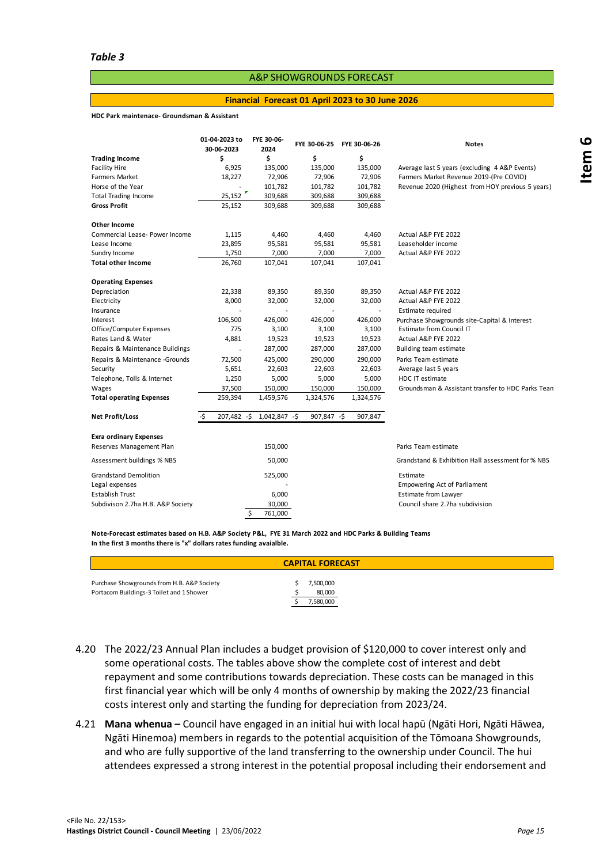#### A&P SHOWGROUNDS FORECAST

#### **Financial Forecast 01 April 2023 to 30 June 2026**

#### **HDC Park maintenace- Groundsman & Assistant**

|                                   | 01-04-2023 to<br>30-06-2023 | FYE 30-06-<br>2024 | FYE 30-06-25 | FYE 30-06-26             | <b>Notes</b>                                      |
|-----------------------------------|-----------------------------|--------------------|--------------|--------------------------|---------------------------------------------------|
| <b>Trading Income</b>             | Ś                           | \$                 | \$           | \$                       |                                                   |
| <b>Facility Hire</b>              | 6,925                       | 135,000            | 135,000      | 135,000                  | Average last 5 years (excluding 4 A&P Events)     |
| <b>Farmers Market</b>             | 18,227                      | 72,906             | 72,906       | 72,906                   | Farmers Market Revenue 2019-(Pre COVID)           |
| Horse of the Year                 |                             | 101,782            | 101,782      | 101,782                  | Revenue 2020 (Highest from HOY previous 5 years)  |
| <b>Total Trading Income</b>       | 25,152                      | 309,688            | 309,688      | 309,688                  |                                                   |
| <b>Gross Profit</b>               | 25,152                      | 309,688            | 309,688      | 309,688                  |                                                   |
| Other Income                      |                             |                    |              |                          |                                                   |
| Commercial Lease- Power Income    | 1,115                       | 4,460              | 4,460        | 4,460                    | Actual A&P FYE 2022                               |
| Lease Income                      | 23,895                      | 95,581             | 95,581       | 95,581                   | Leaseholder income                                |
| Sundry Income                     | 1,750                       | 7,000              | 7,000        | 7,000                    | Actual A&P FYE 2022                               |
| <b>Total other Income</b>         | 26,760                      | 107,041            | 107,041      | 107,041                  |                                                   |
| <b>Operating Expenses</b>         |                             |                    |              |                          |                                                   |
| Depreciation                      | 22,338                      | 89,350             | 89,350       | 89,350                   | Actual A&P FYE 2022                               |
| Electricity                       | 8,000                       | 32,000             | 32,000       | 32,000                   | Actual A&P FYE 2022                               |
| Insurance                         |                             |                    |              | $\overline{\phantom{a}}$ | Estimate required                                 |
| Interest                          | 106,500                     | 426,000            | 426,000      | 426,000                  | Purchase Showgrounds site-Capital & Interest      |
| Office/Computer Expenses          | 775                         | 3,100              | 3,100        | 3,100                    | <b>Estimate from Council IT</b>                   |
| Rates Land & Water                | 4,881                       | 19,523             | 19,523       | 19,523                   | Actual A&P FYE 2022                               |
| Repairs & Maintenance Buildings   | L.                          | 287,000            | 287,000      | 287,000                  | Building team estimate                            |
| Repairs & Maintenance - Grounds   | 72,500                      | 425,000            | 290,000      | 290,000                  | Parks Team estimate                               |
| Security                          | 5,651                       | 22,603             | 22,603       | 22,603                   | Average last 5 years                              |
| Telephone, Tolls & Internet       | 1,250                       | 5,000              | 5,000        | 5,000                    | <b>HDC IT estimate</b>                            |
| Wages                             | 37,500                      | 150,000            | 150,000      | 150,000                  | Groundsman & Assistant transfer to HDC Parks Tean |
| <b>Total operating Expenses</b>   | 259,394                     | 1,459,576          | 1,324,576    | 1,324,576                |                                                   |
| Net Profit/Loss                   | 207,482 -\$<br>-Ś           | $1,042,847 - $$    | 907,847 -\$  | 907,847                  |                                                   |
| <b>Exra ordinary Expenses</b>     |                             |                    |              |                          |                                                   |
| Reserves Management Plan          |                             | 150,000            |              |                          | Parks Team estimate                               |
|                                   |                             |                    |              |                          |                                                   |
| Assessment buildings % NBS        |                             | 50,000             |              |                          | Grandstand & Exhibition Hall assessment for % NBS |
| <b>Grandstand Demolition</b>      |                             | 525,000            |              |                          | Estimate                                          |
| Legal expenses                    |                             |                    |              |                          | <b>Empowering Act of Parliament</b>               |
| <b>Establish Trust</b>            |                             | 6,000              |              |                          | Estimate from Lawyer                              |
| Subdivison 2.7ha H.B. A&P Society |                             | 30,000             |              |                          | Council share 2.7ha subdivision                   |
|                                   | \$                          | 761,000            |              |                          |                                                   |

**In the first 3 months there is "x" dollars rates funding avaialble. Note-Forecast estimates based on H.B. A&P Society P&L, FYE 31 March 2022 and HDC Parks & Building Teams**

- 4.20 The 2022/23 Annual Plan includes a budget provision of \$120,000 to cover interest only and some operational costs. The tables above show the complete cost of interest and debt repayment and some contributions towards depreciation. These costs can be managed in this first financial year which will be only 4 months of ownership by making the 2022/23 financial costs interest only and starting the funding for depreciation from 2023/24.
- 4.21 **Mana whenua –** Council have engaged in an initial hui with local hapū (Ngāti Hori, Ngāti Hāwea, Ngāti Hinemoa) members in regards to the potential acquisition of the Tōmoana Showgrounds, and who are fully supportive of the land transferring to the ownership under Council. The hui attendees expressed a strong interest in the potential proposal including their endorsement and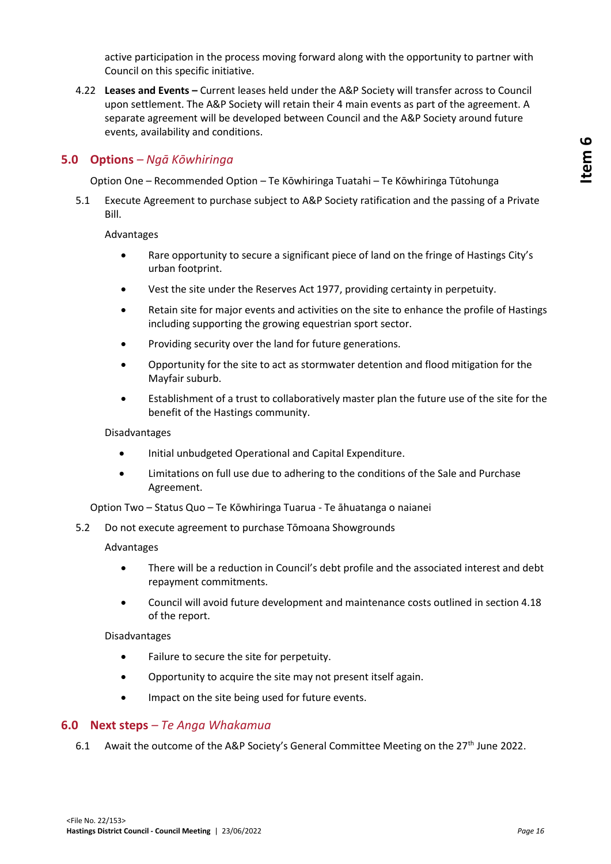active participation in the process moving forward along with the opportunity to partner with Council on this specific initiative.

4.22 **Leases and Events –** Current leases held under the A&P Society will transfer across to Council upon settlement. The A&P Society will retain their 4 main events as part of the agreement. A separate agreement will be developed between Council and the A&P Society around future events, availability and conditions.

## **5.0 Options** *– Ngā Kōwhiringa*

Option One – Recommended Option – Te Kōwhiringa Tuatahi – Te Kōwhiringa Tūtohunga

5.1 Execute Agreement to purchase subject to A&P Society ratification and the passing of a Private Bill.

#### Advantages

- Rare opportunity to secure a significant piece of land on the fringe of Hastings City's urban footprint.
- Vest the site under the Reserves Act 1977, providing certainty in perpetuity.
- Retain site for major events and activities on the site to enhance the profile of Hastings including supporting the growing equestrian sport sector.
- Providing security over the land for future generations.
- Opportunity for the site to act as stormwater detention and flood mitigation for the Mayfair suburb.
- Establishment of a trust to collaboratively master plan the future use of the site for the benefit of the Hastings community.

#### Disadvantages

- Initial unbudgeted Operational and Capital Expenditure.
- Limitations on full use due to adhering to the conditions of the Sale and Purchase Agreement.

Option Two – Status Quo – Te Kōwhiringa Tuarua - Te āhuatanga o naianei

5.2 Do not execute agreement to purchase Tōmoana Showgrounds

#### Advantages

- There will be a reduction in Council's debt profile and the associated interest and debt repayment commitments.
- Council will avoid future development and maintenance costs outlined in section 4.18 of the report.

#### Disadvantages

- Failure to secure the site for perpetuity.
- Opportunity to acquire the site may not present itself again.
- Impact on the site being used for future events.

#### **6.0 Next steps** *– Te Anga Whakamua*

6.1 Await the outcome of the A&P Society's General Committee Meeting on the  $27<sup>th</sup>$  June 2022.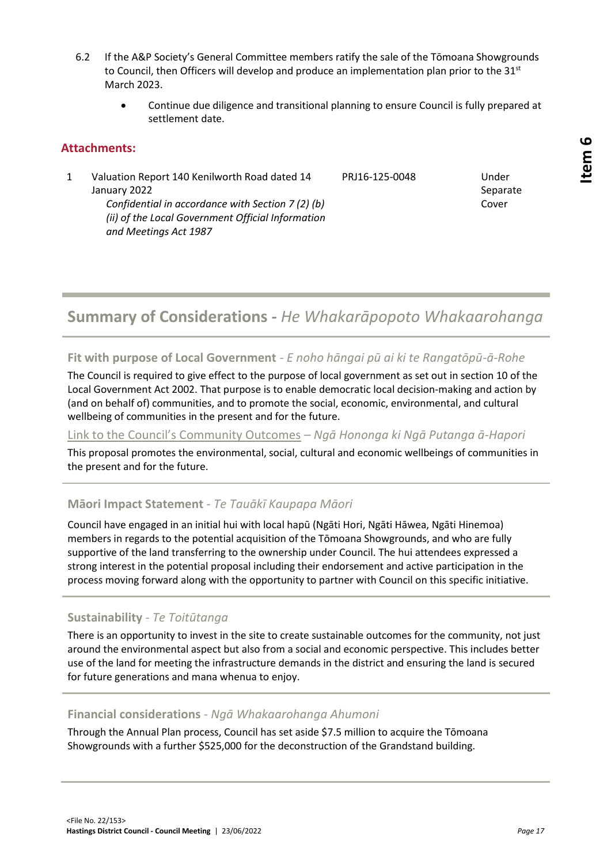Separate Cover

- 6.2 If the A&P Society's General Committee members ratify the sale of the Tōmoana Showgrounds to Council, then Officers will develop and produce an implementation plan prior to the  $31<sup>st</sup>$ March 2023.
	- Continue due diligence and transitional planning to ensure Council is fully prepared at settlement date.

# **Attachments:**

1 Valuation Report 140 Kenilworth Road dated 14

PRJ16-125-0048 Under

January 2022

*Confidential in accordance with Section 7 (2) (b) (ii) of the Local Government Official Information and Meetings Act 1987*

# **Summary of Considerations** *- He Whakarāpopoto Whakaarohanga*

**Fit with purpose of Local Government** *- E noho hāngai pū ai ki te Rangatōpū-ā-Rohe*

The Council is required to give effect to the purpose of local government as set out in section 10 of the Local Government Act 2002. That purpose is to enable democratic local decision-making and action by (and on behalf of) communities, and to promote the social, economic, environmental, and cultural wellbeing of communities in the present and for the future.

# [Link to the Council's Community Outcomes](//hdcfp1/data/Infocouncil/Templates/councils-community-outcomes.pdf) *– Ngā Hononga ki Ngā Putanga ā-Hapori*

This proposal promotes the environmental, social, cultural and economic wellbeings of communities in the present and for the future.

# **Māori Impact Statement** *- Te Tauākī Kaupapa Māori*

Council have engaged in an initial hui with local hapū (Ngāti Hori, Ngāti Hāwea, Ngāti Hinemoa) members in regards to the potential acquisition of the Tōmoana Showgrounds, and who are fully supportive of the land transferring to the ownership under Council. The hui attendees expressed a strong interest in the potential proposal including their endorsement and active participation in the process moving forward along with the opportunity to partner with Council on this specific initiative.

# **Sustainability** *- Te Toitūtanga*

There is an opportunity to invest in the site to create sustainable outcomes for the community, not just around the environmental aspect but also from a social and economic perspective. This includes better use of the land for meeting the infrastructure demands in the district and ensuring the land is secured for future generations and mana whenua to enjoy.

# **Financial considerations** *- Ngā Whakaarohanga Ahumoni*

Through the Annual Plan process, Council has set aside \$7.5 million to acquire the Tōmoana Showgrounds with a further \$525,000 for the deconstruction of the Grandstand building.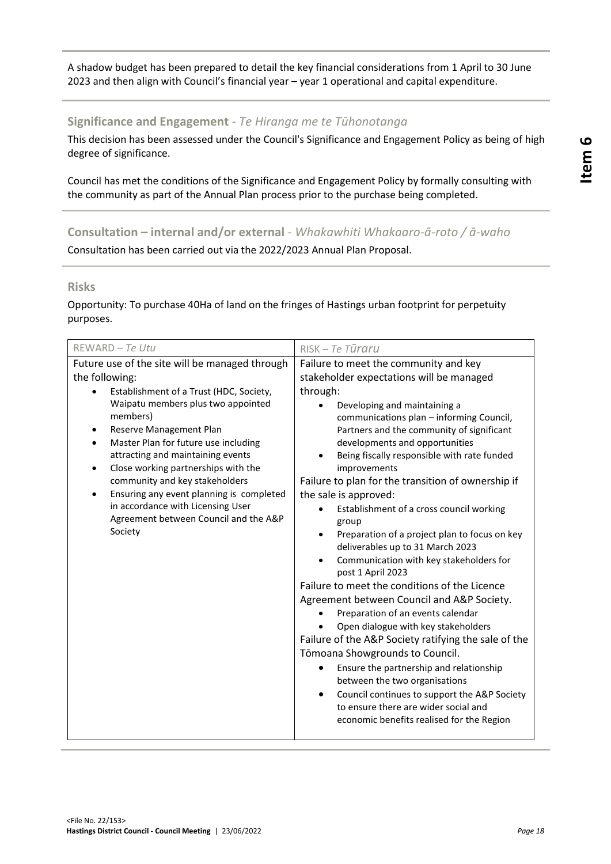A shadow budget has been prepared to detail the key financial considerations from 1 April to 30 June 2023 and then align with Council's financial year – year 1 operational and capital expenditure.

### **Significance and Engagement** *- Te Hiranga me te Tūhonotanga*

This decision has been assessed under the Council's Significance and Engagement Policy as being of high degree of significance.

Council has met the conditions of the Significance and Engagement Policy by formally consulting with the community as part of the Annual Plan process prior to the purchase being completed.

**Consultation – internal and/or external** *- Whakawhiti Whakaaro-ā-roto / ā-waho* Consultation has been carried out via the 2022/2023 Annual Plan Proposal.

#### **Risks**

Opportunity: To purchase 40Ha of land on the fringes of Hastings urban footprint for perpetuity purposes.

| REWARD - Te Utu                                                                                                                                                                                                                                                                                                                                                                                                                                                                                  | RISK - Te Tūraru                                                                                                                                                                                                                                                                                                                                                                                                                                                                                                                                                                                                                                                                                                                                                                                                                                                                                                                                                                                                                                                                                                     |
|--------------------------------------------------------------------------------------------------------------------------------------------------------------------------------------------------------------------------------------------------------------------------------------------------------------------------------------------------------------------------------------------------------------------------------------------------------------------------------------------------|----------------------------------------------------------------------------------------------------------------------------------------------------------------------------------------------------------------------------------------------------------------------------------------------------------------------------------------------------------------------------------------------------------------------------------------------------------------------------------------------------------------------------------------------------------------------------------------------------------------------------------------------------------------------------------------------------------------------------------------------------------------------------------------------------------------------------------------------------------------------------------------------------------------------------------------------------------------------------------------------------------------------------------------------------------------------------------------------------------------------|
| Future use of the site will be managed through<br>the following:<br>Establishment of a Trust (HDC, Society,<br>Waipatu members plus two appointed<br>members)<br>Reserve Management Plan<br>Master Plan for future use including<br>attracting and maintaining events<br>Close working partnerships with the<br>community and key stakeholders<br>Ensuring any event planning is completed<br>$\bullet$<br>in accordance with Licensing User<br>Agreement between Council and the A&P<br>Society | Failure to meet the community and key<br>stakeholder expectations will be managed<br>through:<br>Developing and maintaining a<br>communications plan - informing Council,<br>Partners and the community of significant<br>developments and opportunities<br>Being fiscally responsible with rate funded<br>improvements<br>Failure to plan for the transition of ownership if<br>the sale is approved:<br>Establishment of a cross council working<br>group<br>Preparation of a project plan to focus on key<br>deliverables up to 31 March 2023<br>Communication with key stakeholders for<br>post 1 April 2023<br>Failure to meet the conditions of the Licence<br>Agreement between Council and A&P Society.<br>Preparation of an events calendar<br>Open dialogue with key stakeholders<br>Failure of the A&P Society ratifying the sale of the<br>Tōmoana Showgrounds to Council.<br>Ensure the partnership and relationship<br>between the two organisations<br>Council continues to support the A&P Society<br>$\bullet$<br>to ensure there are wider social and<br>economic benefits realised for the Region |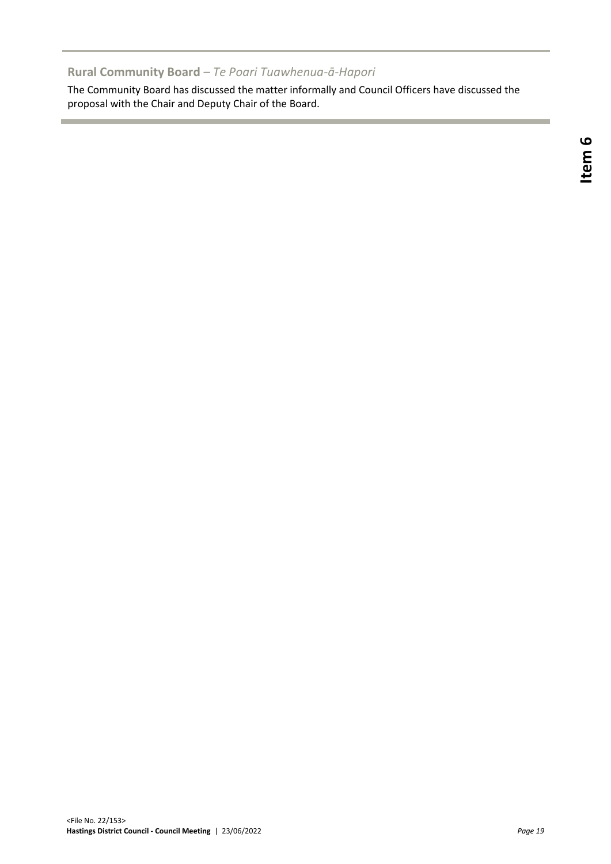# **Rural Community Board** *– Te Poari Tuawhenua-ā-Hapori*

The Community Board has discussed the matter informally and Council Officers have discussed the proposal with the Chair and Deputy Chair of the Board.

٠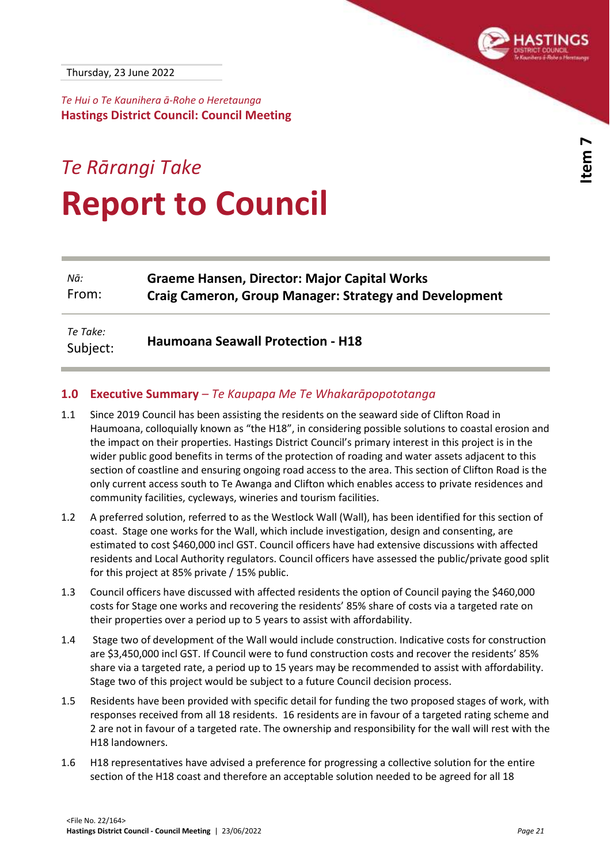<span id="page-20-0"></span>*Te Hui o Te Kaunihera ā-Rohe o Heretaunga* **Hastings District Council: Council Meeting**

# *Te Rārangi Take* **Report to Council**

| Nā:                  | <b>Graeme Hansen, Director: Major Capital Works</b>           |
|----------------------|---------------------------------------------------------------|
| From:                | <b>Craig Cameron, Group Manager: Strategy and Development</b> |
| Te Take:<br>Subject: | <b>Haumoana Seawall Protection - H18</b>                      |

## **1.0 Executive Summary** *– Te Kaupapa Me Te Whakarāpopototanga*

- [1.1](//hdcfp1/data/Infocouncil/Templates/report_guidance.pdf) Since 2019 Council has been assisting the residents on the seaward side of Clifton Road in Haumoana, colloquially known as "the H18", in considering possible solutions to coastal erosion and the impact on their properties. Hastings District Council's primary interest in this project is in the wider public good benefits in terms of the protection of roading and water assets adjacent to this section of coastline and ensuring ongoing road access to the area. This section of Clifton Road is the only current access south to Te Awanga and Clifton which enables access to private residences and community facilities, cycleways, wineries and tourism facilities.
- 1.2 A preferred solution, referred to as the Westlock Wall (Wall), has been identified for this section of coast. Stage one works for the Wall, which include investigation, design and consenting, are estimated to cost \$460,000 incl GST. Council officers have had extensive discussions with affected residents and Local Authority regulators. Council officers have assessed the public/private good split for this project at 85% private / 15% public.
- 1.3 Council officers have discussed with affected residents the option of Council paying the \$460,000 costs for Stage one works and recovering the residents' 85% share of costs via a targeted rate on their properties over a period up to 5 years to assist with affordability.
- 1.4 Stage two of development of the Wall would include construction. Indicative costs for construction are \$3,450,000 incl GST. If Council were to fund construction costs and recover the residents' 85% share via a targeted rate, a period up to 15 years may be recommended to assist with affordability. Stage two of this project would be subject to a future Council decision process.
- 1.5 Residents have been provided with specific detail for funding the two proposed stages of work, with responses received from all 18 residents. 16 residents are in favour of a targeted rating scheme and 2 are not in favour of a targeted rate. The ownership and responsibility for the wall will rest with the H18 landowners.
- 1.6 H18 representatives have advised a preference for progressing a collective solution for the entire section of the H18 coast and therefore an acceptable solution needed to be agreed for all 18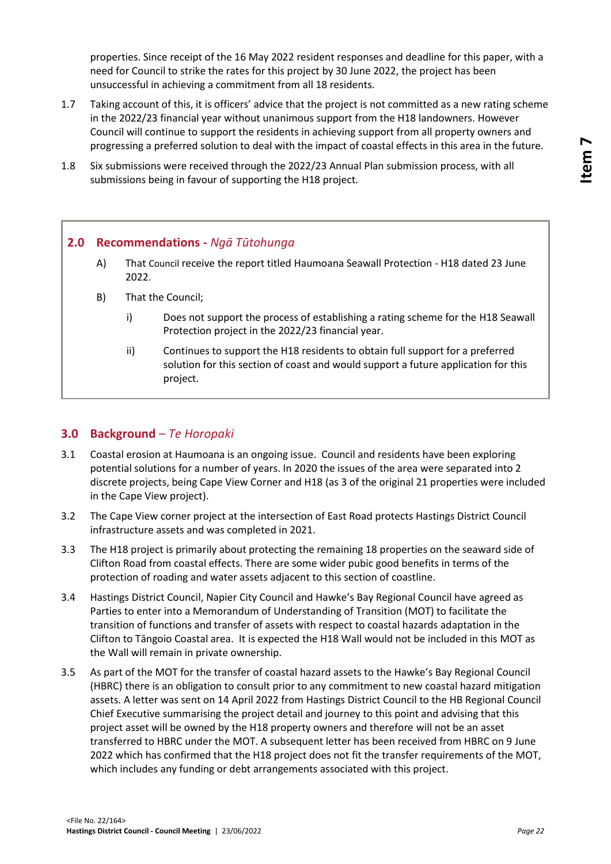properties. Since receipt of the 16 May 2022 resident responses and deadline for this paper, with a need for Council to strike the rates for this project by 30 June 2022, the project has been unsuccessful in achieving a commitment from all 18 residents.

- 1.7 Taking account of this, it is officers' advice that the project is not committed as a new rating scheme in the 2022/23 financial year without unanimous support from the H18 landowners. However Council will continue to support the residents in achieving support from all property owners and progressing a preferred solution to deal with the impact of coastal effects in this area in the future.
- 1.8 Six submissions were received through the 2022/23 Annual Plan submission process, with all submissions being in favour of supporting the H18 project.

# **2.0 Recommendations -** *Ngā Tūtohunga*

- A) That Council receive the report titled Haumoana Seawall Protection H18 dated 23 June 2022.
- B) That the Council;
	- i) Does not support the process of establishing a rating scheme for the H18 Seawall Protection project in the 2022/23 financial year.
	- ii) Continues to support the H18 residents to obtain full support for a preferred solution for this section of coast and would support a future application for this project.

### **3.0 Background** *– Te Horopaki*

- 3.1 Coastal erosion at Haumoana is an ongoing issue. Council and residents have been exploring potential solutions for a number of years. In 2020 the issues of the area were separated into 2 discrete projects, being Cape View Corner and H18 (as 3 of the original 21 properties were included in the Cape View project).
- 3.2 The Cape View corner project at the intersection of East Road protects Hastings District Council infrastructure assets and was completed in 2021.
- 3.3 The H18 project is primarily about protecting the remaining 18 properties on the seaward side of Clifton Road from coastal effects. There are some wider pubic good benefits in terms of the protection of roading and water assets adjacent to this section of coastline.
- 3.4 Hastings District Council, Napier City Council and Hawke's Bay Regional Council have agreed as Parties to enter into a Memorandum of Understanding of Transition (MOT) to facilitate the transition of functions and transfer of assets with respect to coastal hazards adaptation in the Clifton to Tāngoio Coastal area. It is expected the H18 Wall would not be included in this MOT as the Wall will remain in private ownership.
- 3.5 As part of the MOT for the transfer of coastal hazard assets to the Hawke's Bay Regional Council (HBRC) there is an obligation to consult prior to any commitment to new coastal hazard mitigation assets. A letter was sent on 14 April 2022 from Hastings District Council to the HB Regional Council Chief Executive summarising the project detail and journey to this point and advising that this project asset will be owned by the H18 property owners and therefore will not be an asset transferred to HBRC under the MOT. A subsequent letter has been received from HBRC on 9 June 2022 which has confirmed that the H18 project does not fit the transfer requirements of the MOT, which includes any funding or debt arrangements associated with this project.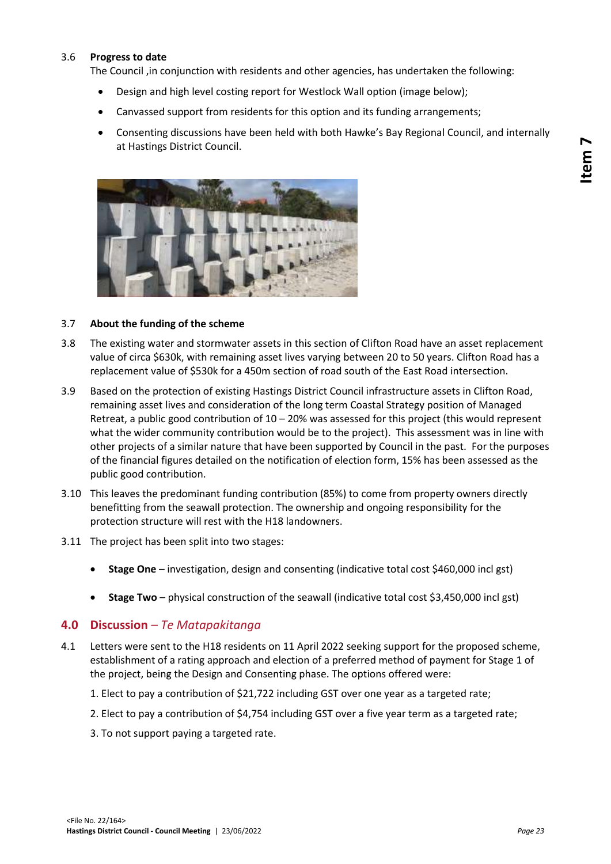#### 3.6 **Progress to date**

The Council ,in conjunction with residents and other agencies, has undertaken the following:

- Design and high level costing report for Westlock Wall option (image below);
- Canvassed support from residents for this option and its funding arrangements;
- Consenting discussions have been held with both Hawke's Bay Regional Council, and internally at Hastings District Council.



#### 3.7 **About the funding of the scheme**

- 3.8 The existing water and stormwater assets in this section of Clifton Road have an asset replacement value of circa \$630k, with remaining asset lives varying between 20 to 50 years. Clifton Road has a replacement value of \$530k for a 450m section of road south of the East Road intersection.
- 3.9 Based on the protection of existing Hastings District Council infrastructure assets in Clifton Road, remaining asset lives and consideration of the long term Coastal Strategy position of Managed Retreat, a public good contribution of 10 – 20% was assessed for this project (this would represent what the wider community contribution would be to the project). This assessment was in line with other projects of a similar nature that have been supported by Council in the past. For the purposes of the financial figures detailed on the notification of election form, 15% has been assessed as the public good contribution.
- 3.10 This leaves the predominant funding contribution (85%) to come from property owners directly benefitting from the seawall protection. The ownership and ongoing responsibility for the protection structure will rest with the H18 landowners.
- 3.11 The project has been split into two stages:
	- **Stage One** investigation, design and consenting (indicative total cost \$460,000 incl gst)
	- **Stage Two** physical construction of the seawall (indicative total cost \$3,450,000 incl gst)

#### **4.0 Discussion** *– Te Matapakitanga*

- 4.1 Letters were sent to the H18 residents on 11 April 2022 seeking support for the proposed scheme, establishment of a rating approach and election of a preferred method of payment for Stage 1 of the project, being the Design and Consenting phase. The options offered were:
	- 1. Elect to pay a contribution of \$21,722 including GST over one year as a targeted rate;
	- 2. Elect to pay a contribution of \$4,754 including GST over a five year term as a targeted rate;
	- 3. To not support paying a targeted rate.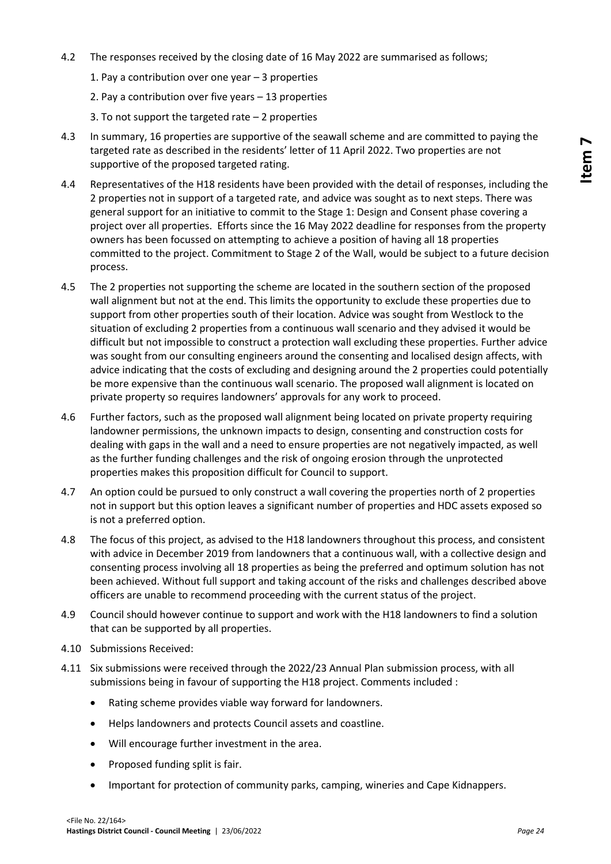- 4.2 The responses received by the closing date of 16 May 2022 are summarised as follows;
	- 1. Pay a contribution over one year 3 properties
	- 2. Pay a contribution over five years 13 properties
	- 3. To not support the targeted rate  $-2$  properties
- 4.3 In summary, 16 properties are supportive of the seawall scheme and are committed to paying the targeted rate as described in the residents' letter of 11 April 2022. Two properties are not supportive of the proposed targeted rating.
- 4.4 Representatives of the H18 residents have been provided with the detail of responses, including the 2 properties not in support of a targeted rate, and advice was sought as to next steps. There was general support for an initiative to commit to the Stage 1: Design and Consent phase covering a project over all properties. Efforts since the 16 May 2022 deadline for responses from the property owners has been focussed on attempting to achieve a position of having all 18 properties committed to the project. Commitment to Stage 2 of the Wall, would be subject to a future decision process.
- 4.5 The 2 properties not supporting the scheme are located in the southern section of the proposed wall alignment but not at the end. This limits the opportunity to exclude these properties due to support from other properties south of their location. Advice was sought from Westlock to the situation of excluding 2 properties from a continuous wall scenario and they advised it would be difficult but not impossible to construct a protection wall excluding these properties. Further advice was sought from our consulting engineers around the consenting and localised design affects, with advice indicating that the costs of excluding and designing around the 2 properties could potentially be more expensive than the continuous wall scenario. The proposed wall alignment is located on private property so requires landowners' approvals for any work to proceed.
- 4.6 Further factors, such as the proposed wall alignment being located on private property requiring landowner permissions, the unknown impacts to design, consenting and construction costs for dealing with gaps in the wall and a need to ensure properties are not negatively impacted, as well as the further funding challenges and the risk of ongoing erosion through the unprotected properties makes this proposition difficult for Council to support.
- 4.7 An option could be pursued to only construct a wall covering the properties north of 2 properties not in support but this option leaves a significant number of properties and HDC assets exposed so is not a preferred option.
- 4.8 The focus of this project, as advised to the H18 landowners throughout this process, and consistent with advice in December 2019 from landowners that a continuous wall, with a collective design and consenting process involving all 18 properties as being the preferred and optimum solution has not been achieved. Without full support and taking account of the risks and challenges described above officers are unable to recommend proceeding with the current status of the project.
- 4.9 Council should however continue to support and work with the H18 landowners to find a solution that can be supported by all properties.
- 4.10 Submissions Received:
- 4.11 Six submissions were received through the 2022/23 Annual Plan submission process, with all submissions being in favour of supporting the H18 project. Comments included :
	- Rating scheme provides viable way forward for landowners.
	- Helps landowners and protects Council assets and coastline.
	- Will encourage further investment in the area.
	- Proposed funding split is fair.
	- Important for protection of community parks, camping, wineries and Cape Kidnappers.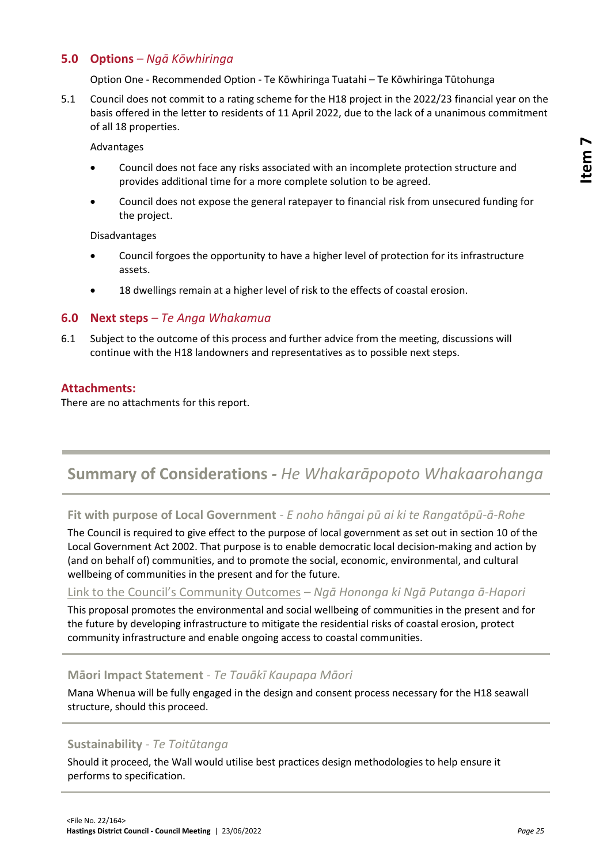## **5.0 Options** *– Ngā Kōwhiringa*

Option One - Recommended Option - Te Kōwhiringa Tuatahi – Te Kōwhiringa Tūtohunga

5.1 Council does not commit to a rating scheme for the H18 project in the 2022/23 financial year on the basis offered in the letter to residents of 11 April 2022, due to the lack of a unanimous commitment of all 18 properties.

Advantages

- Council does not face any risks associated with an incomplete protection structure and provides additional time for a more complete solution to be agreed.
- Council does not expose the general ratepayer to financial risk from unsecured funding for the project.

Disadvantages

- Council forgoes the opportunity to have a higher level of protection for its infrastructure assets.
- 18 dwellings remain at a higher level of risk to the effects of coastal erosion.

#### **6.0 Next steps** *– Te Anga Whakamua*

6.1 Subject to the outcome of this process and further advice from the meeting, discussions will continue with the H18 landowners and representatives as to possible next steps.

#### **Attachments:**

There are no attachments for this report.

# **Summary of Considerations** *- He Whakarāpopoto Whakaarohanga*

#### **Fit with purpose of Local Government** *- E noho hāngai pū ai ki te Rangatōpū-ā-Rohe*

The Council is required to give effect to the purpose of local government as set out in section 10 of the Local Government Act 2002. That purpose is to enable democratic local decision-making and action by (and on behalf of) communities, and to promote the social, economic, environmental, and cultural wellbeing of communities in the present and for the future.

#### [Link to the Council's Community Outcomes](//hdcfp1/data/Infocouncil/Templates/councils-community-outcomes.pdf) *– Ngā Hononga ki Ngā Putanga ā-Hapori*

This proposal promotes the environmental and social wellbeing of communities in the present and for the future by developing infrastructure to mitigate the residential risks of coastal erosion, protect community infrastructure and enable ongoing access to coastal communities.

#### **Māori Impact Statement** *- Te Tauākī Kaupapa Māori*

Mana Whenua will be fully engaged in the design and consent process necessary for the H18 seawall structure, should this proceed.

#### **Sustainability** *- Te Toitūtanga*

Should it proceed, the Wall would utilise best practices design methodologies to help ensure it performs to specification.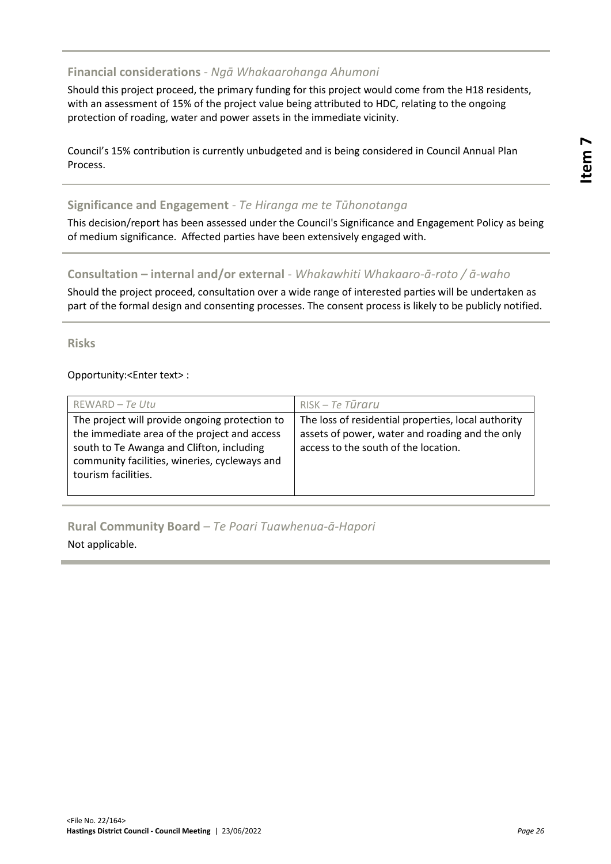# **Financial considerations** *- Ngā Whakaarohanga Ahumoni*

Should this project proceed, the primary funding for this project would come from the H18 residents, with an assessment of 15% of the project value being attributed to HDC, relating to the ongoing protection of roading, water and power assets in the immediate vicinity.

Council's 15% contribution is currently unbudgeted and is being considered in Council Annual Plan Process.

# **Significance and Engagement** *- Te Hiranga me te Tūhonotanga*

This decision/report has been assessed under the Council's Significance and Engagement Policy as being of medium significance. Affected parties have been extensively engaged with.

### **Consultation – internal and/or external** *- Whakawhiti Whakaaro-ā-roto / ā-waho*

Should the project proceed, consultation over a wide range of interested parties will be undertaken as part of the formal design and consenting processes. The consent process is likely to be publicly notified.

**Risks**

Opportunity:<Enter text> :

| REWARD - Te Utu                                                                                                                                                                                                     | $RISK - Te$ Tūraru                                                                                                                             |
|---------------------------------------------------------------------------------------------------------------------------------------------------------------------------------------------------------------------|------------------------------------------------------------------------------------------------------------------------------------------------|
| The project will provide ongoing protection to<br>the immediate area of the project and access<br>south to Te Awanga and Clifton, including<br>community facilities, wineries, cycleways and<br>tourism facilities. | The loss of residential properties, local authority<br>assets of power, water and roading and the only<br>access to the south of the location. |

# **Rural Community Board** *– Te Poari Tuawhenua-ā-Hapori*

Not applicable.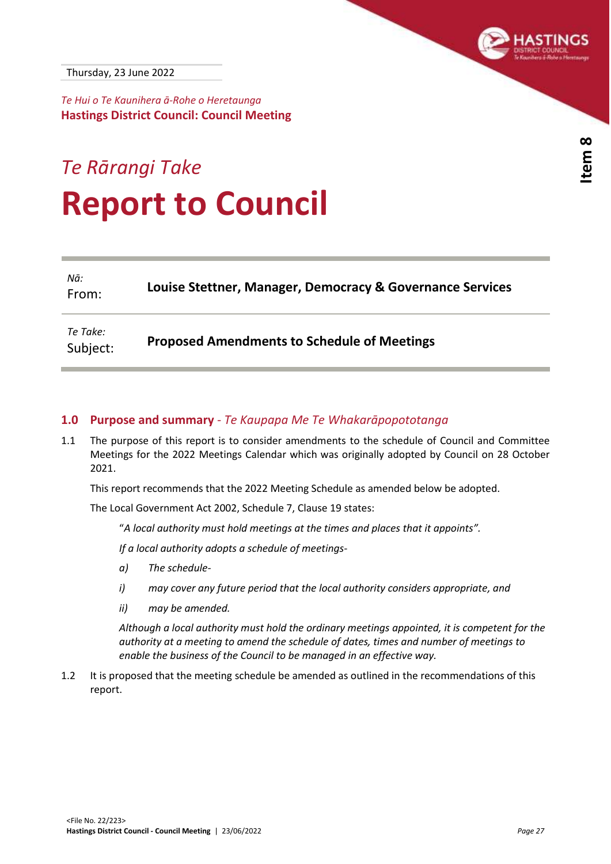<span id="page-26-0"></span>

*Te Hui o Te Kaunihera ā-Rohe o Heretaunga* **Hastings District Council: Council Meeting**

# *Te Rārangi Take* **Report to Council**

| Nā:<br>From:         | Louise Stettner, Manager, Democracy & Governance Services |
|----------------------|-----------------------------------------------------------|
| Te Take:<br>Subject: | <b>Proposed Amendments to Schedule of Meetings</b>        |

## **1.0 Purpose and summary** *- Te Kaupapa Me Te Whakarāpopototanga*

1.1 The purpose of this report is to consider amendments to the schedule of Council and Committee Meetings for the 2022 Meetings Calendar which was originally adopted by Council on 28 October 2021.

This report recommends that the 2022 Meeting Schedule as amended below be adopted.

The Local Government Act 2002, Schedule 7, Clause 19 states:

"*A local authority must hold meetings at the times and places that it appoints".*

*If a local authority adopts a schedule of meetings-*

- *a) The schedule-*
- *i) may cover any future period that the local authority considers appropriate, and*
- *ii) may be amended.*

*Although a local authority must hold the ordinary meetings appointed, it is competent for the authority at a meeting to amend the schedule of dates, times and number of meetings to enable the business of the Council to be managed in an effective way.*

1.2 It is proposed that the meeting schedule be amended as outlined in the recommendations of this report.